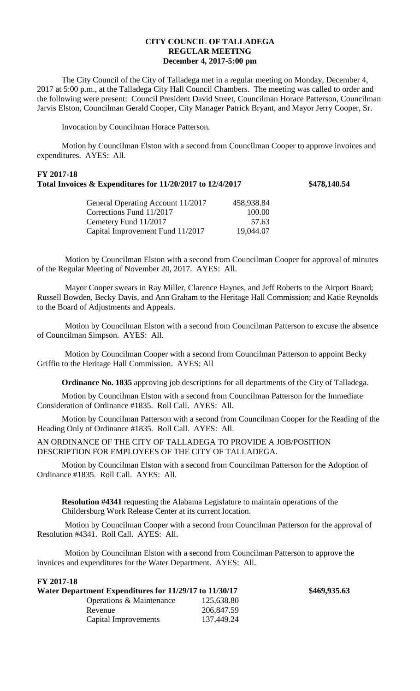## **CITY COUNCIL OF TALLADEGA REGULAR MEETING December 4, 2017-5:00 pm**

The City Council of the City of Talladega met in a regular meeting on Monday, December 4, 2017 at 5:00 p.m., at the Talladega City Hall Council Chambers. The meeting was called to order and the following were present: Council President David Street, Councilman Horace Patterson, Councilman Jarvis Elston, Councilman Gerald Cooper, City Manager Patrick Bryant, and Mayor Jerry Cooper, Sr.

Invocation by Councilman Horace Patterson.

Motion by Councilman Elston with a second from Councilman Cooper to approve invoices and expenditures. AYES: All.

# **FY 2017-18 Total Invoices & Expenditures for 11/20/2017 to 12/4/2017 \$478,140.54**

| General Operating Account 11/2017 | 458,938.84 |
|-----------------------------------|------------|
| Corrections Fund 11/2017          | 100.00     |
| Cemetery Fund 11/2017             | 57.63      |
| Capital Improvement Fund 11/2017  | 19,044.07  |
|                                   |            |

Motion by Councilman Elston with a second from Councilman Cooper for approval of minutes of the Regular Meeting of November 20, 2017. AYES: All.

Mayor Cooper swears in Ray Miller, Clarence Haynes, and Jeff Roberts to the Airport Board; Russell Bowden, Becky Davis, and Ann Graham to the Heritage Hall Commission; and Katie Reynolds to the Board of Adjustments and Appeals.

Motion by Councilman Elston with a second from Councilman Patterson to excuse the absence of Councilman Simpson. AYES: All.

Motion by Councilman Cooper with a second from Councilman Patterson to appoint Becky Griffin to the Heritage Hall Commission. AYES: All

**Ordinance No. 1835** approving job descriptions for all departments of the City of Talladega.

Motion by Councilman Elston with a second from Councilman Patterson for the Immediate Consideration of Ordinance #1835. Roll Call. AYES: All.

Motion by Councilman Patterson with a second from Councilman Cooper for the Reading of the Heading Only of Ordinance #1835. Roll Call. AYES: All.

AN ORDINANCE OF THE CITY OF TALLADEGA TO PROVIDE A JOB/POSITION DESCRIPTION FOR EMPLOYEES OF THE CITY OF TALLADEGA.

Motion by Councilman Elston with a second from Councilman Patterson for the Adoption of Ordinance #1835. Roll Call. AYES: All.

**Resolution #4341** requesting the Alabama Legislature to maintain operations of the Childersburg Work Release Center at its current location.

Motion by Councilman Cooper with a second from Councilman Patterson for the approval of Resolution #4341. Roll Call. AYES: All.

Motion by Councilman Elston with a second from Councilman Patterson to approve the invoices and expenditures for the Water Department. AYES: All.

## **FY 2017-18**

| Water Department Expenditures for 11/29/17 to 11/30/17 |            | \$469,935.63 |
|--------------------------------------------------------|------------|--------------|
| Operations & Maintenance                               | 125,638.80 |              |
| Revenue                                                | 206,847.59 |              |
| Capital Improvements                                   | 137,449.24 |              |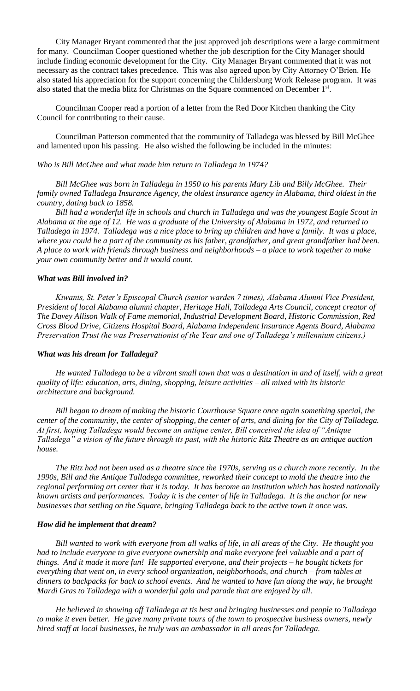City Manager Bryant commented that the just approved job descriptions were a large commitment for many. Councilman Cooper questioned whether the job description for the City Manager should include finding economic development for the City. City Manager Bryant commented that it was not necessary as the contract takes precedence. This was also agreed upon by City Attorney O'Brien. He also stated his appreciation for the support concerning the Childersburg Work Release program. It was also stated that the media blitz for Christmas on the Square commenced on December 1<sup>st</sup>.

Councilman Cooper read a portion of a letter from the Red Door Kitchen thanking the City Council for contributing to their cause.

Councilman Patterson commented that the community of Talladega was blessed by Bill McGhee and lamented upon his passing. He also wished the following be included in the minutes:

### *Who is Bill McGhee and what made him return to Talladega in 1974?*

*Bill McGhee was born in Talladega in 1950 to his parents Mary Lib and Billy McGhee. Their family owned Talladega Insurance Agency, the oldest insurance agency in Alabama, third oldest in the country, dating back to 1858.*

*Bill had a wonderful life in schools and church in Talladega and was the youngest Eagle Scout in Alabama at the age of 12. He was a graduate of the University of Alabama in 1972, and returned to Talladega in 1974. Talladega was a nice place to bring up children and have a family. It was a place, where you could be a part of the community as his father, grandfather, and great grandfather had been. A place to work with friends through business and neighborhoods – a place to work together to make your own community better and it would count.*

### *What was Bill involved in?*

*Kiwanis, St. Peter's Episcopal Church (senior warden 7 times), Alabama Alumni Vice President, President of local Alabama alumni chapter, Heritage Hall, Talladega Arts Council, concept creator of The Davey Allison Walk of Fame memorial, Industrial Development Board, Historic Commission, Red Cross Blood Drive, Citizens Hospital Board, Alabama Independent Insurance Agents Board, Alabama Preservation Trust (he was Preservationist of the Year and one of Talladega's millennium citizens.)*

#### *What was his dream for Talladega?*

*He wanted Talladega to be a vibrant small town that was a destination in and of itself, with a great quality of life: education, arts, dining, shopping, leisure activities – all mixed with its historic architecture and background.*

*Bill began to dream of making the historic Courthouse Square once again something special, the center of the community, the center of shopping, the center of arts, and dining for the City of Talladega. At first, hoping Talladega would become an antique center, Bill conceived the idea of "Antique Talladega" a vision of the future through its past, with the historic Ritz Theatre as an antique auction house.*

*The Ritz had not been used as a theatre since the 1970s, serving as a church more recently. In the 1990s, Bill and the Antique Talladega committee, reworked their concept to mold the theatre into the regional performing art center that it is today. It has become an institution which has hosted nationally known artists and performances. Today it is the center of life in Talladega. It is the anchor for new businesses that settling on the Square, bringing Talladega back to the active town it once was.*

### *How did he implement that dream?*

*Bill wanted to work with everyone from all walks of life, in all areas of the City. He thought you had to include everyone to give everyone ownership and make everyone feel valuable and a part of things. And it made it more fun! He supported everyone, and their projects – he bought tickets for everything that went on, in every school organization, neighborhoods, and church – from tables at dinners to backpacks for back to school events. And he wanted to have fun along the way, he brought Mardi Gras to Talladega with a wonderful gala and parade that are enjoyed by all.*

*He believed in showing off Talladega at tis best and bringing businesses and people to Talladega to make it even better. He gave many private tours of the town to prospective business owners, newly hired staff at local businesses, he truly was an ambassador in all areas for Talladega.*